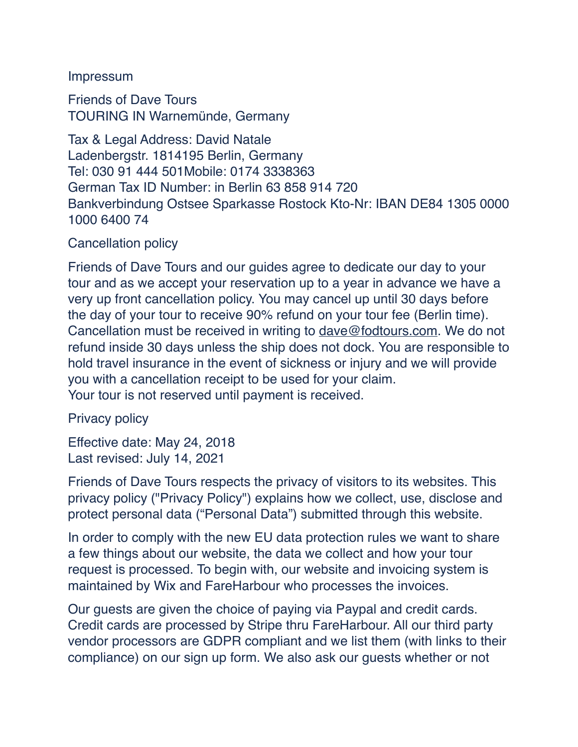#### Impressum

Friends of Dave Tours TOURING IN Warnemünde, Germany

Tax & Legal Address: David Natale Ladenbergstr. 1814195 Berlin, Germany Tel: 030 91 444 501Mobile: 0174 3338363 German Tax ID Number: in Berlin 63 858 914 720 Bankverbindung Ostsee Sparkasse Rostock Kto-Nr: IBAN DE84 1305 0000 1000 6400 74

# Cancellation policy

Friends of Dave Tours and our guides agree to dedicate our day to your tour and as we accept your reservation up to a year in advance we have a very up front cancellation policy. You may cancel up until 30 days before the day of your tour to receive 90% refund on your tour fee (Berlin time). Cancellation must be received in writing to [dave@fodtours.com.](mailto:dave@fodtours.com) We do not refund inside 30 days unless the ship does not dock. You are responsible to hold travel insurance in the event of sickness or injury and we will provide you with a cancellation receipt to be used for your claim. Your tour is not reserved until payment is received.

# Privacy policy

Effective date: May 24, 2018 Last revised: July 14, 2021

Friends of Dave Tours respects the privacy of visitors to its websites. This privacy policy ("Privacy Policy") explains how we collect, use, disclose and protect personal data ("Personal Data") submitted through this website.

In order to comply with the new EU data protection rules we want to share a few things about our website, the data we collect and how your tour request is processed. To begin with, our website and invoicing system is maintained by Wix and FareHarbour who processes the invoices.

Our guests are given the choice of paying via Paypal and credit cards. Credit cards are processed by Stripe thru FareHarbour. All our third party vendor processors are GDPR compliant and we list them (with links to their compliance) on our sign up form. We also ask our guests whether or not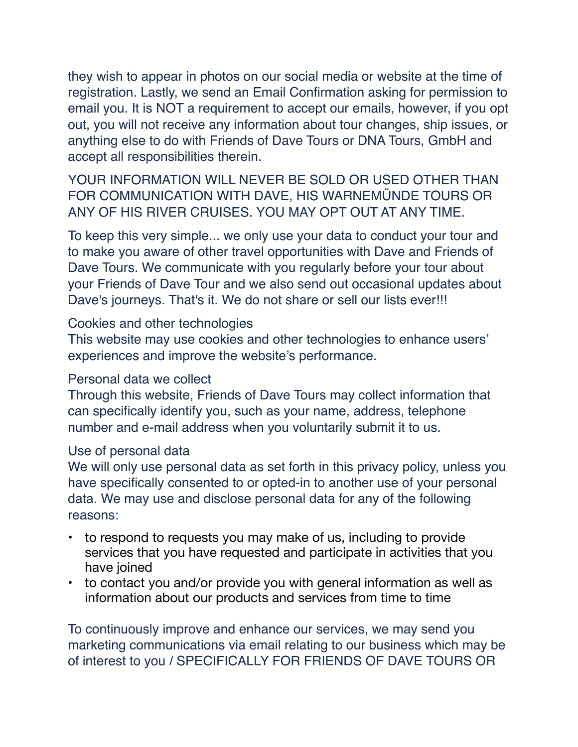they wish to appear in photos on our social media or website at the time of registration. Lastly, we send an Email Confirmation asking for permission to email you. It is NOT a requirement to accept our emails, however, if you opt out, you will not receive any information about tour changes, ship issues, or anything else to do with Friends of Dave Tours or DNA Tours, GmbH and accept all responsibilities therein.

YOUR INFORMATION WILL NEVER BE SOLD OR USED OTHER THAN FOR COMMUNICATION WITH DAVE, HIS WARNEMÜNDE TOURS OR ANY OF HIS RIVER CRUISES. YOU MAY OPT OUT AT ANY TIME.

To keep this very simple... we only use your data to conduct your tour and to make you aware of other travel opportunities with Dave and Friends of Dave Tours. We communicate with you regularly before your tour about your Friends of Dave Tour and we also send out occasional updates about Dave's journeys. That's it. We do not share or sell our lists ever!!!

#### Cookies and other technologies

This website may use cookies and other technologies to enhance users' experiences and improve the website's performance.

#### Personal data we collect

Through this website, Friends of Dave Tours may collect information that can specifically identify you, such as your name, address, telephone number and e-mail address when you voluntarily submit it to us.

# Use of personal data

We will only use personal data as set forth in this privacy policy, unless you have specifically consented to or opted-in to another use of your personal data. We may use and disclose personal data for any of the following reasons:

- to respond to requests you may make of us, including to provide services that you have requested and participate in activities that you have joined
- to contact you and/or provide you with general information as well as information about our products and services from time to time

To continuously improve and enhance our services, we may send you marketing communications via email relating to our business which may be of interest to you / SPECIFICALLY FOR FRIENDS OF DAVE TOURS OR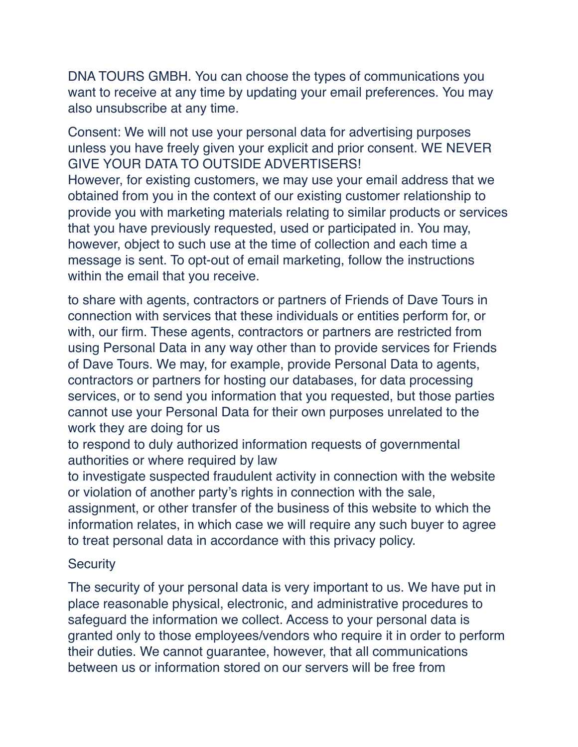DNA TOURS GMBH. You can choose the types of communications you want to receive at any time by updating your email preferences. You may also unsubscribe at any time.

Consent: We will not use your personal data for advertising purposes unless you have freely given your explicit and prior consent. WE NEVER GIVE YOUR DATA TO OUTSIDE ADVERTISERS! However, for existing customers, we may use your email address that we obtained from you in the context of our existing customer relationship to provide you with marketing materials relating to similar products or services that you have previously requested, used or participated in. You may, however, object to such use at the time of collection and each time a message is sent. To opt-out of email marketing, follow the instructions within the email that you receive.

to share with agents, contractors or partners of Friends of Dave Tours in connection with services that these individuals or entities perform for, or with, our firm. These agents, contractors or partners are restricted from using Personal Data in any way other than to provide services for Friends of Dave Tours. We may, for example, provide Personal Data to agents, contractors or partners for hosting our databases, for data processing services, or to send you information that you requested, but those parties cannot use your Personal Data for their own purposes unrelated to the work they are doing for us

to respond to duly authorized information requests of governmental authorities or where required by law

to investigate suspected fraudulent activity in connection with the website or violation of another party's rights in connection with the sale, assignment, or other transfer of the business of this website to which the information relates, in which case we will require any such buyer to agree to treat personal data in accordance with this privacy policy.

# **Security**

The security of your personal data is very important to us. We have put in place reasonable physical, electronic, and administrative procedures to safeguard the information we collect. Access to your personal data is granted only to those employees/vendors who require it in order to perform their duties. We cannot guarantee, however, that all communications between us or information stored on our servers will be free from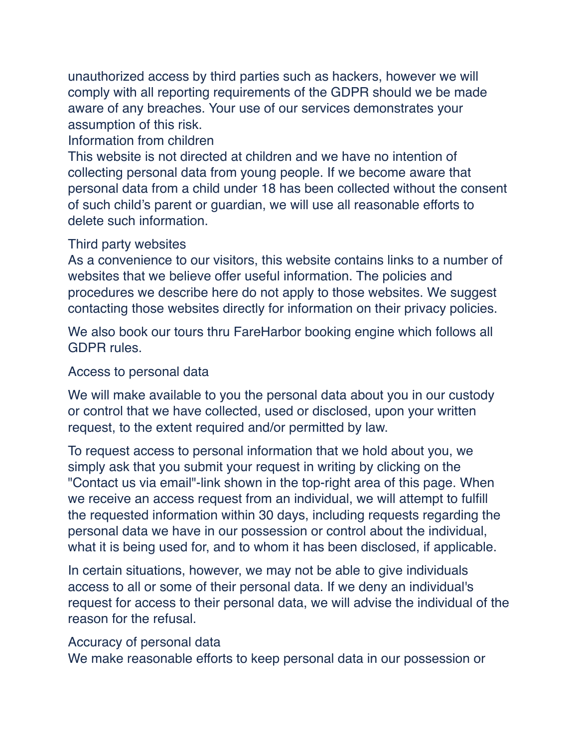unauthorized access by third parties such as hackers, however we will comply with all reporting requirements of the GDPR should we be made aware of any breaches. Your use of our services demonstrates your assumption of this risk.

# Information from children

This website is not directed at children and we have no intention of collecting personal data from young people. If we become aware that personal data from a child under 18 has been collected without the consent of such child's parent or guardian, we will use all reasonable efforts to delete such information.

# Third party websites

As a convenience to our visitors, this website contains links to a number of websites that we believe offer useful information. The policies and procedures we describe here do not apply to those websites. We suggest contacting those websites directly for information on their privacy policies.

We also book our tours thru FareHarbor booking engine which follows all GDPR rules.

# Access to personal data

We will make available to you the personal data about you in our custody or control that we have collected, used or disclosed, upon your written request, to the extent required and/or permitted by law.

To request access to personal information that we hold about you, we simply ask that you submit your request in writing by clicking on the "Contact us via email"-link shown in the top-right area of this page. When we receive an access request from an individual, we will attempt to fulfill the requested information within 30 days, including requests regarding the personal data we have in our possession or control about the individual, what it is being used for, and to whom it has been disclosed, if applicable.

In certain situations, however, we may not be able to give individuals access to all or some of their personal data. If we deny an individual's request for access to their personal data, we will advise the individual of the reason for the refusal.

# Accuracy of personal data

We make reasonable efforts to keep personal data in our possession or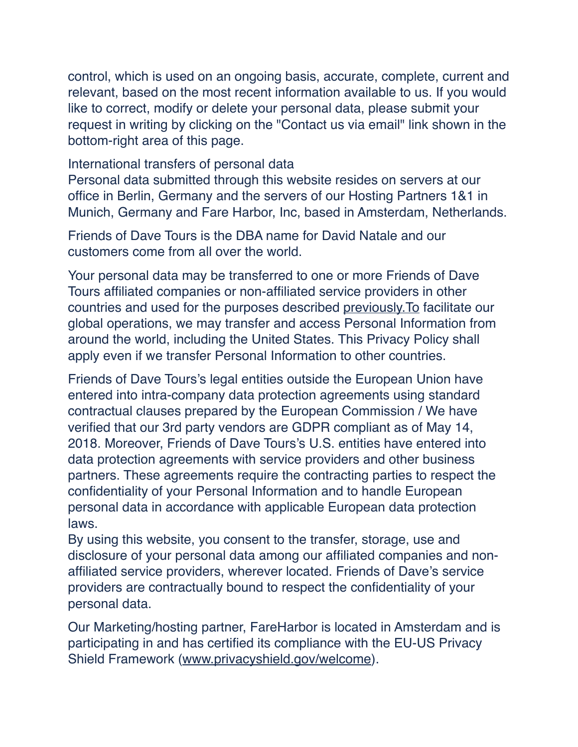control, which is used on an ongoing basis, accurate, complete, current and relevant, based on the most recent information available to us. If you would like to correct, modify or delete your personal data, please submit your request in writing by clicking on the "Contact us via email" link shown in the bottom-right area of this page.

#### International transfers of personal data

Personal data submitted through this website resides on servers at our office in Berlin, Germany and the servers of our Hosting Partners 1&1 in Munich, Germany and Fare Harbor, Inc, based in Amsterdam, Netherlands.

Friends of Dave Tours is the DBA name for David Natale and our customers come from all over the world.

Your personal data may be transferred to one or more Friends of Dave Tours affiliated companies or non-affiliated service providers in other countries and used for the purposes described [previously.To](http://previously.to/) facilitate our global operations, we may transfer and access Personal Information from around the world, including the United States. This Privacy Policy shall apply even if we transfer Personal Information to other countries.

Friends of Dave Tours's legal entities outside the European Union have entered into intra-company data protection agreements using standard contractual clauses prepared by the European Commission / We have verified that our 3rd party vendors are GDPR compliant as of May 14, 2018. Moreover, Friends of Dave Tours's U.S. entities have entered into data protection agreements with service providers and other business partners. These agreements require the contracting parties to respect the confidentiality of your Personal Information and to handle European personal data in accordance with applicable European data protection laws.

By using this website, you consent to the transfer, storage, use and disclosure of your personal data among our affiliated companies and nonaffiliated service providers, wherever located. Friends of Dave's service providers are contractually bound to respect the confidentiality of your personal data.

Our Marketing/hosting partner, FareHarbor is located in Amsterdam and is participating in and has certified its compliance with the EU-US Privacy Shield Framework [\(www.privacyshield.gov/welcome](http://www.privacyshield.gov/welcome)).